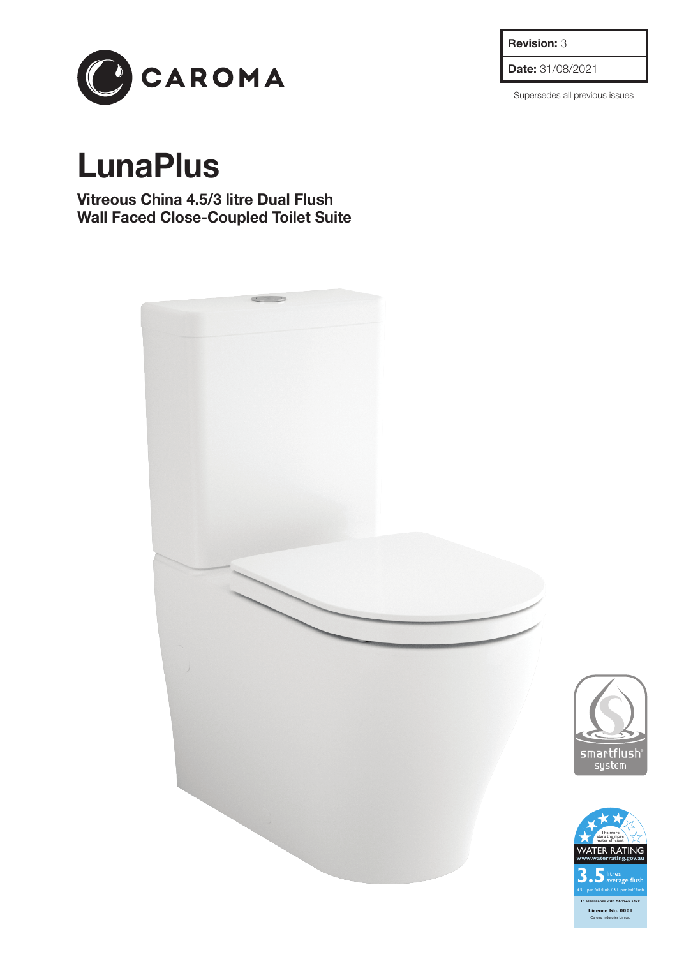**Revision:** 3

**Date:** 31/08/2021

Supersedes all previous issues



## **LunaPlus**

**Vitreous China 4.5/3 litre Dual Flush Wall Faced Close-Coupled Toilet Suite**